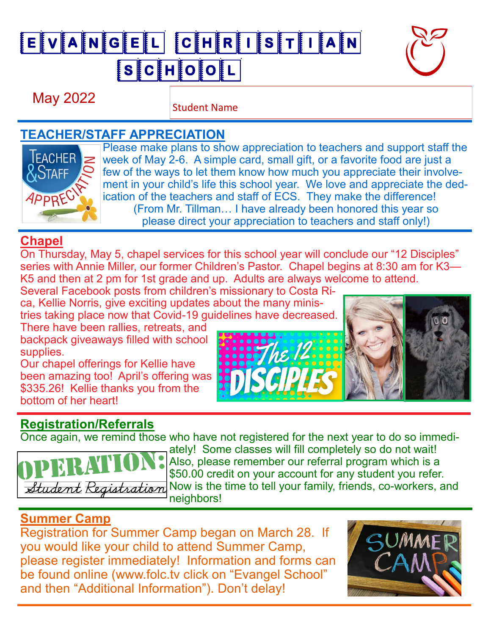# EVANGEL CHRISTIAN SCHOOL



May 2022

Student Name

#### **TEACHER/STAFF APPRECIATION**



Please make plans to show appreciation to teachers and support staff the week of May 2-6. A simple card, small gift, or a favorite food are just a few of the ways to let them know how much you appreciate their involvement in your child's life this school year. We love and appreciate the dedication of the teachers and staff of ECS. They make the difference! (From Mr. Tillman… I have already been honored this year so please direct your appreciation to teachers and staff only!)

he li

### **Chapel**

On Thursday, May 5, chapel services for this school year will conclude our "12 Disciples" series with Annie Miller, our former Children's Pastor. Chapel begins at 8:30 am for K3— K5 and then at 2 pm for 1st grade and up. Adults are always welcome to attend.

Several Facebook posts from children's missionary to Costa Rica, Kellie Norris, give exciting updates about the many ministries taking place now that Covid-19 guidelines have decreased.

There have been rallies, retreats, and backpack giveaways filled with school supplies.

Our chapel offerings for Kellie have been amazing too! April's offering was \$335.26! Kellie thanks you from the bottom of her heart!

## **Registration/Referrals**

Once again, we remind those who have not registered for the next year to do so immedi-



ately! Some classes will fill completely so do not wait! Also, please remember our referral program which is a \$50.00 credit on your account for any student you refer. Now is the time to tell your family, friends, co-workers, and neighbors!

#### **Summer Camp**

Registration for Summer Camp began on March 28. If you would like your child to attend Summer Camp, please register immediately! Information and forms can be found online (www.folc.tv click on "Evangel School" and then "Additional Information"). Don't delay!